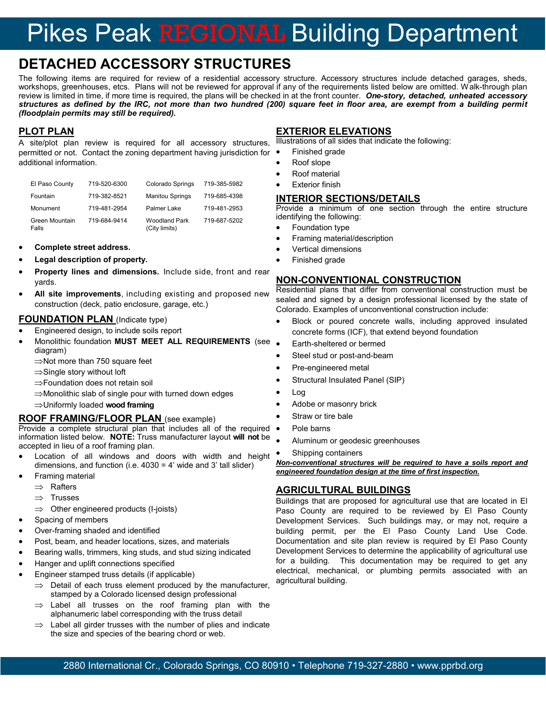# Pikes Peak REGIONAL Building Department

# **DETACHED ACCESSORY STRUCTURES**

The following items are required for review of a residential accessory structure. Accessory structures include detached garages, sheds, workshops, greenhouses, etcs. Plans will not be reviewed for approval if any of the requirements listed below are omitted. Walk-through plan review is limited in time, if more time is required, the plans will be checked in at the front counter. *One-story, detached, unheated accessory structures as defined by the IRC, not more than two hundred (200) square feet in floor area, are exempt from a building permit (floodplain permits may still be required).* 

## **PLOT PLAN**

A site/plot plan review is required for all accessory structures, permitted or not. Contact the zoning department having jurisdiction for additional information.

| El Paso County          | 719-520-6300 | <b>Colorado Springs</b>               | 719-385-5982 |
|-------------------------|--------------|---------------------------------------|--------------|
| Fountain                | 719-382-8521 | <b>Manitou Springs</b>                | 719-685-4398 |
| Monument                | 719-481-2954 | Palmer Lake                           | 719-481-2953 |
| Green Mountain<br>Falls | 719-684-9414 | <b>Woodland Park</b><br>(City limits) | 719-687-5202 |

#### **Complete street address.**

- **Legal description of property.**
- **Property lines and dimensions.** Include side, front and rear yards.
- **All site improvements**, including existing and proposed new construction (deck, patio enclosure, garage, etc.)

#### **FOUNDATION PLAN (Indicate type)**

- Engineered design, to include soils report
- Monolithic foundation **MUST MEET ALL REQUIREMENTS** (see diagram)

 $\Rightarrow$ Not more than 750 square feet

- $\Rightarrow$  Single story without loft
- ⇒Foundation does not retain soil
- $\Rightarrow$ Monolithic slab of single pour with turned down edges
- Uniformly loaded **wood framing**

#### **ROOF FRAMING/FLOOR PLAN** (see example)

Provide a complete structural plan that includes all of the required information listed below. **NOTE:** Truss manufacturer layout **will not** be accepted in lieu of a roof framing plan.

- Location of all windows and doors with width and height dimensions, and function (i.e.  $4030 = 4'$  wide and 3' tall slider)
- Framing material
	- $\Rightarrow$  Rafters
	- $\Rightarrow$  Trusses
	- $\implies$  Other engineered products (I-joists)
- Spacing of members
- Over-framing shaded and identified
- Post, beam, and header locations, sizes, and materials
- Bearing walls, trimmers, king studs, and stud sizing indicated
- Hanger and uplift connections specified
- Engineer stamped truss details (if applicable)
	- $\Rightarrow$  Detail of each truss element produced by the manufacturer, stamped by a Colorado licensed design professional
	- $\Rightarrow$  Label all trusses on the roof framing plan with the alphanumeric label corresponding with the truss detail
	- $\Rightarrow$  Label all girder trusses with the number of plies and indicate the size and species of the bearing chord or web.

#### **EXTERIOR ELEVATIONS**

Illustrations of all sides that indicate the following:

- Finished grade
- Roof slope
- Roof material
- Exterior finish

#### **INTERIOR SECTIONS/DETAILS**

Provide a minimum of one section through the entire structure identifying the following:

- Foundation type
- Framing material/description
- Vertical dimensions
- Finished grade

#### **NON-CONVENTIONAL CONSTRUCTION**

Residential plans that differ from conventional construction must be sealed and signed by a design professional licensed by the state of Colorado. Examples of unconventional construction include:

- Block or poured concrete walls, including approved insulated concrete forms (ICF), that extend beyond foundation
- Earth-sheltered or bermed
- Steel stud or post-and-beam
- Pre-engineered metal
- Structural Insulated Panel (SIP)
- Log
- Adobe or masonry brick
- Straw or tire bale
- Pole barns
- Aluminum or geodesic greenhouses
- Shipping containers

*Non-conventional structures will be required to have a soils report and engineered foundation design at the time of first inspection.* 

### **AGRICULTURAL BUILDINGS**

Buildings that are proposed for agricultural use that are located in El Paso County are required to be reviewed by El Paso County Development Services. Such buildings may, or may not, require a building permit, per the El Paso County Land Use Code. Documentation and site plan review is required by El Paso County Development Services to determine the applicability of agricultural use for a building. This documentation may be required to get any electrical, mechanical, or plumbing permits associated with an agricultural building.